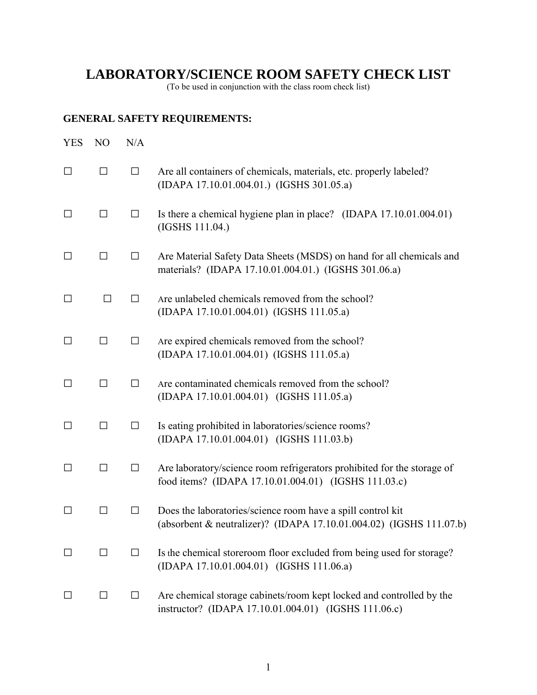## **LABORATORY/SCIENCE ROOM SAFETY CHECK LIST**

(To be used in conjunction with the class room check list)

## **GENERAL SAFETY REQUIREMENTS:**

| <b>YES</b> | N <sub>O</sub> | N/A    |                                                                                                                                    |
|------------|----------------|--------|------------------------------------------------------------------------------------------------------------------------------------|
| $\Box$     | $\Box$         | $\Box$ | Are all containers of chemicals, materials, etc. properly labeled?<br>(IDAPA 17.10.01.004.01.) (IGSHS 301.05.a)                    |
| $\Box$     | $\Box$         | $\Box$ | Is there a chemical hygiene plan in place? (IDAPA 17.10.01.004.01)<br>(IGSHS 111.04.)                                              |
| $\Box$     | $\Box$         | $\Box$ | Are Material Safety Data Sheets (MSDS) on hand for all chemicals and<br>materials? (IDAPA 17.10.01.004.01.) (IGSHS 301.06.a)       |
| $\Box$     | $\Box$         | $\Box$ | Are unlabeled chemicals removed from the school?<br>(IDAPA 17.10.01.004.01) (IGSHS 111.05.a)                                       |
| $\Box$     | $\Box$         | $\Box$ | Are expired chemicals removed from the school?<br>(IDAPA 17.10.01.004.01) (IGSHS 111.05.a)                                         |
| □          | $\Box$         | $\Box$ | Are contaminated chemicals removed from the school?<br>(IDAPA 17.10.01.004.01) (IGSHS 111.05.a)                                    |
| □          | $\Box$         | $\Box$ | Is eating prohibited in laboratories/science rooms?<br>(IDAPA 17.10.01.004.01) (IGSHS 111.03.b)                                    |
| □          | $\Box$         | $\Box$ | Are laboratory/science room refrigerators prohibited for the storage of<br>food items? (IDAPA 17.10.01.004.01) (IGSHS 111.03.c)    |
| $\perp$    | $\Box$         | $\Box$ | Does the laboratories/science room have a spill control kit<br>(absorbent & neutralizer)? (IDAPA 17.10.01.004.02) (IGSHS 111.07.b) |
| □          | $\Box$         | $\Box$ | Is the chemical storeroom floor excluded from being used for storage?<br>(IDAPA 17.10.01.004.01) (IGSHS 111.06.a)                  |
| ⊔          | $\Box$         | $\Box$ | Are chemical storage cabinets/room kept locked and controlled by the<br>instructor? (IDAPA 17.10.01.004.01) (IGSHS 111.06.c)       |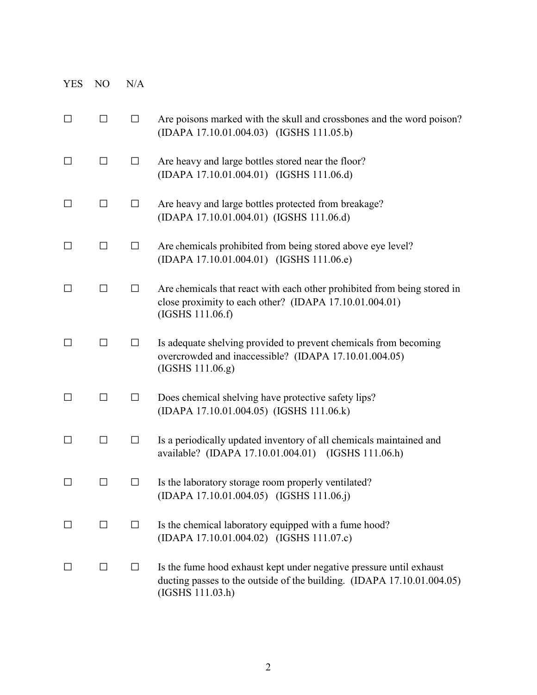| <b>YES</b> | N <sub>O</sub> | N/A    |                                                                                                                                                                   |
|------------|----------------|--------|-------------------------------------------------------------------------------------------------------------------------------------------------------------------|
| $\Box$     | $\Box$         | $\Box$ | Are poisons marked with the skull and crossbones and the word poison?<br>(IDAPA 17.10.01.004.03) (IGSHS 111.05.b)                                                 |
| $\perp$    | $\Box$         | $\Box$ | Are heavy and large bottles stored near the floor?<br>(IDAPA 17.10.01.004.01) (IGSHS 111.06.d)                                                                    |
| $\Box$     | $\Box$         | $\Box$ | Are heavy and large bottles protected from breakage?<br>(IDAPA 17.10.01.004.01) (IGSHS 111.06.d)                                                                  |
| $\Box$     | $\Box$         | $\Box$ | Are chemicals prohibited from being stored above eye level?<br>(IDAPA 17.10.01.004.01) (IGSHS 111.06.e)                                                           |
| $\perp$    | $\Box$         | $\Box$ | Are chemicals that react with each other prohibited from being stored in<br>close proximity to each other? (IDAPA 17.10.01.004.01)<br>(IGSHS 111.06.f)            |
| $\Box$     | $\Box$         | ⊔      | Is adequate shelving provided to prevent chemicals from becoming<br>overcrowded and inaccessible? (IDAPA 17.10.01.004.05)<br>(IGSHS 111.06.g)                     |
| $\Box$     | □              | $\Box$ | Does chemical shelving have protective safety lips?<br>(IDAPA 17.10.01.004.05) (IGSHS 111.06.k)                                                                   |
| $\perp$    | $\Box$         | ⊔      | Is a periodically updated inventory of all chemicals maintained and<br>available? (IDAPA 17.10.01.004.01) (IGSHS 111.06.h)                                        |
|            | ΙI             | $\Box$ | Is the laboratory storage room properly ventilated?<br>(IDAPA 17.10.01.004.05) (IGSHS 111.06.j)                                                                   |
| $\perp$    | $\Box$         | $\Box$ | Is the chemical laboratory equipped with a fume hood?<br>(IDAPA 17.10.01.004.02) (IGSHS 111.07.c)                                                                 |
| $\perp$    | $\Box$         | $\Box$ | Is the fume hood exhaust kept under negative pressure until exhaust<br>ducting passes to the outside of the building. (IDAPA 17.10.01.004.05)<br>(IGSHS 111.03.h) |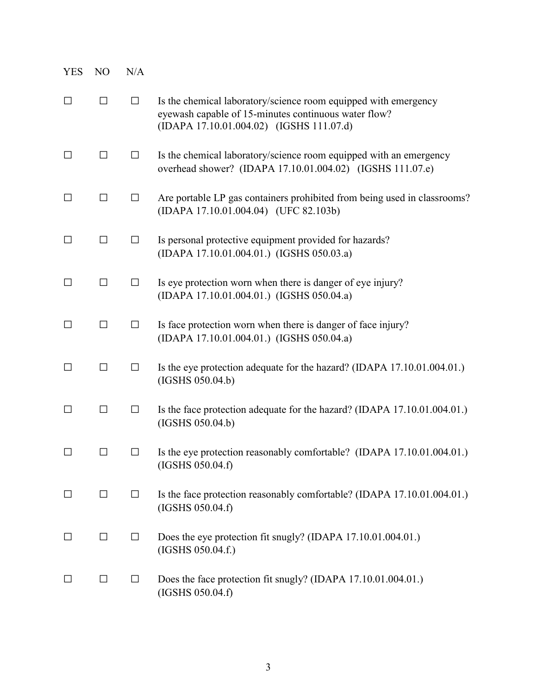| <b>YES</b> | N <sub>O</sub>    | N/A     |                                                                                                                                                                     |
|------------|-------------------|---------|---------------------------------------------------------------------------------------------------------------------------------------------------------------------|
| □          | $\Box$            | $\Box$  | Is the chemical laboratory/science room equipped with emergency<br>eyewash capable of 15-minutes continuous water flow?<br>(IDAPA 17.10.01.004.02) (IGSHS 111.07.d) |
| $\perp$    | $\Box$            | $\Box$  | Is the chemical laboratory/science room equipped with an emergency<br>overhead shower? (IDAPA 17.10.01.004.02) (IGSHS 111.07.e)                                     |
| $\perp$    | $\Box$            | $\Box$  | Are portable LP gas containers prohibited from being used in classrooms?<br>(IDAPA 17.10.01.004.04) (UFC 82.103b)                                                   |
| $\perp$    | □                 | $\Box$  | Is personal protective equipment provided for hazards?<br>(IDAPA 17.10.01.004.01.) (IGSHS 050.03.a)                                                                 |
| $\Box$     | $\Box$            | $\Box$  | Is eye protection worn when there is danger of eye injury?<br>(IDAPA 17.10.01.004.01.) (IGSHS 050.04.a)                                                             |
| П          | $\Box$            | $\Box$  | Is face protection worn when there is danger of face injury?<br>(IDAPA 17.10.01.004.01.) (IGSHS 050.04.a)                                                           |
| □          | $\Box$            | $\Box$  | Is the eye protection adequate for the hazard? (IDAPA 17.10.01.004.01.)<br>(IGSHS 050.04.b)                                                                         |
| $\Box$     | $\Box$            | $\Box$  | Is the face protection adequate for the hazard? (IDAPA 17.10.01.004.01.)<br>(IGSHS 050.04.b)                                                                        |
|            | $\vert \ \ \vert$ | $\perp$ | Is the eye protection reasonably comfortable? (IDAPA 17.10.01.004.01.)<br>(IGSHS 050.04.f)                                                                          |
| $\perp$    | □                 | $\Box$  | Is the face protection reasonably comfortable? (IDAPA 17.10.01.004.01.)<br>(IGSHS 050.04.f)                                                                         |
| $\perp$    | □                 | $\Box$  | Does the eye protection fit snugly? (IDAPA 17.10.01.004.01.)<br>(IGSHS 050.04.f.)                                                                                   |
|            | $\Box$            | $\Box$  | Does the face protection fit snugly? (IDAPA 17.10.01.004.01.)<br>(IGSHS 050.04.f)                                                                                   |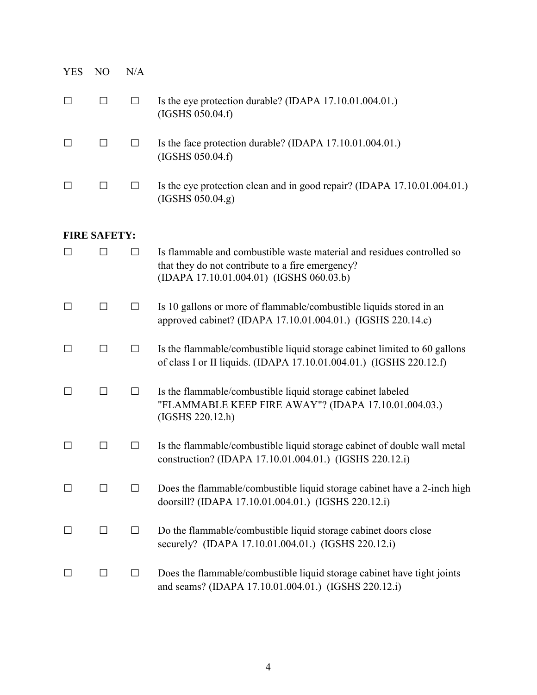| <b>YES</b>   | N <sub>O</sub>      | N/A    |                                                                                                                                                                        |
|--------------|---------------------|--------|------------------------------------------------------------------------------------------------------------------------------------------------------------------------|
| $\Box$       | $\Box$              | $\Box$ | Is the eye protection durable? (IDAPA 17.10.01.004.01.)<br>(IGSHS 050.04.f)                                                                                            |
| $\Box$       | $\Box$              | $\Box$ | Is the face protection durable? (IDAPA 17.10.01.004.01.)<br>(IGSHS 050.04.f)                                                                                           |
| $\Box$       | $\Box$              | □      | Is the eye protection clean and in good repair? (IDAPA 17.10.01.004.01.)<br>(IGSHS 050.04.g)                                                                           |
|              | <b>FIRE SAFETY:</b> |        |                                                                                                                                                                        |
| П            | П                   | □      | Is flammable and combustible waste material and residues controlled so<br>that they do not contribute to a fire emergency?<br>(IDAPA 17.10.01.004.01) (IGSHS 060.03.b) |
| ΙI           | □                   | $\Box$ | Is 10 gallons or more of flammable/combustible liquids stored in an<br>approved cabinet? (IDAPA 17.10.01.004.01.) (IGSHS 220.14.c)                                     |
| □            | $\Box$              | $\Box$ | Is the flammable/combustible liquid storage cabinet limited to 60 gallons<br>of class I or II liquids. (IDAPA 17.10.01.004.01.) (IGSHS 220.12.f)                       |
| П            | □                   | □      | Is the flammable/combustible liquid storage cabinet labeled<br>"FLAMMABLE KEEP FIRE AWAY"? (IDAPA 17.10.01.004.03.)<br>(IGSHS 220.12.h)                                |
| $\mathsf{L}$ | $\vert \ \ \vert$   | $\Box$ | Is the flammable/combustible liquid storage cabinet of double wall metal<br>construction? (IDAPA 17.10.01.004.01.) (IGSHS 220.12.i)                                    |
| $\Box$       | $\Box$              | $\Box$ | Does the flammable/combustible liquid storage cabinet have a 2-inch high<br>doorsill? (IDAPA 17.10.01.004.01.) (IGSHS 220.12.i)                                        |
| $\Box$       | $\Box$              | $\Box$ | Do the flammable/combustible liquid storage cabinet doors close<br>securely? (IDAPA 17.10.01.004.01.) (IGSHS 220.12.i)                                                 |
| $\Box$       | $\Box$              | $\Box$ | Does the flammable/combustible liquid storage cabinet have tight joints<br>and seams? (IDAPA 17.10.01.004.01.) (IGSHS 220.12.i)                                        |